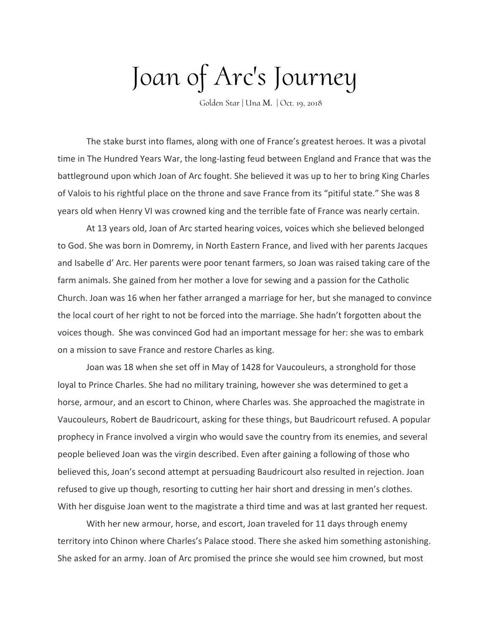## Joan of Arc's Journey

Golden Star | Una M. | Oct. 19, 2018

The stake burst into flames, along with one of France's greatest heroes. It was a pivotal time in The Hundred Years War, the long-lasting feud between England and France that was the battleground upon which Joan of Arc fought. She believed it was up to her to bring King Charles of Valois to his rightful place on the throne and save France from its "pitiful state." She was 8 years old when Henry VI was crowned king and the terrible fate of France was nearly certain.

At 13 years old, Joan of Arc started hearing voices, voices which she believed belonged to God. She was born in Domremy, in North Eastern France, and lived with her parents Jacques and Isabelle d' Arc. Her parents were poor tenant farmers, so Joan was raised taking care of the farm animals. She gained from her mother a love for sewing and a passion for the Catholic Church. Joan was 16 when her father arranged a marriage for her, but she managed to convince the local court of her right to not be forced into the marriage. She hadn't forgotten about the voices though. She was convinced God had an important message for her: she was to embark on a mission to save France and restore Charles as king.

Joan was 18 when she set off in May of 1428 for Vaucouleurs, a stronghold for those loyal to Prince Charles. She had no military training, however she was determined to get a horse, armour, and an escort to Chinon, where Charles was. She approached the magistrate in Vaucouleurs, Robert de Baudricourt, asking for these things, but Baudricourt refused. A popular prophecy in France involved a virgin who would save the country from its enemies, and several people believed Joan was the virgin described. Even after gaining a following of those who believed this, Joan's second attempt at persuading Baudricourt also resulted in rejection. Joan refused to give up though, resorting to cutting her hair short and dressing in men's clothes. With her disguise Joan went to the magistrate a third time and was at last granted her request.

With her new armour, horse, and escort, Joan traveled for 11 days through enemy territory into Chinon where Charles's Palace stood. There she asked him something astonishing. She asked for an army. Joan of Arc promised the prince she would see him crowned, but most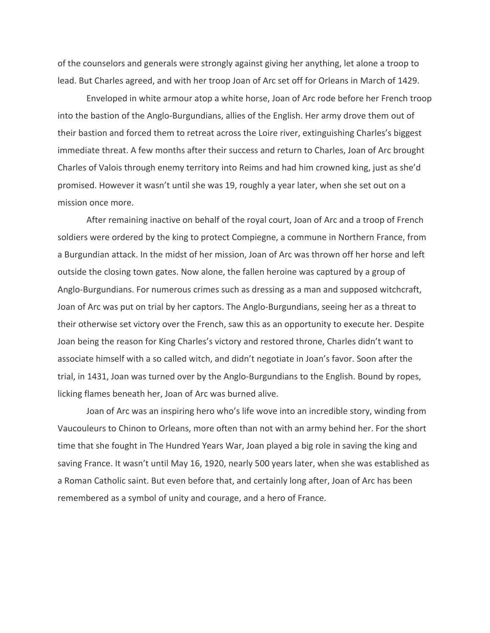of the counselors and generals were strongly against giving her anything, let alone a troop to lead. But Charles agreed, and with her troop Joan of Arc set off for Orleans in March of 1429.

Enveloped in white armour atop a white horse, Joan of Arc rode before her French troop into the bastion of the Anglo-Burgundians, allies of the English. Her army drove them out of their bastion and forced them to retreat across the Loire river, extinguishing Charles's biggest immediate threat. A few months after their success and return to Charles, Joan of Arc brought Charles of Valois through enemy territory into Reims and had him crowned king, just as she'd promised. However it wasn't until she was 19, roughly a year later, when she set out on a mission once more.

After remaining inactive on behalf of the royal court, Joan of Arc and a troop of French soldiers were ordered by the king to protect Compiegne, a commune in Northern France, from a Burgundian attack. In the midst of her mission, Joan of Arc was thrown off her horse and left outside the closing town gates. Now alone, the fallen heroine was captured by a group of Anglo-Burgundians. For numerous crimes such as dressing as a man and supposed witchcraft, Joan of Arc was put on trial by her captors. The Anglo-Burgundians, seeing her as a threat to their otherwise set victory over the French, saw this as an opportunity to execute her. Despite Joan being the reason for King Charles's victory and restored throne, Charles didn't want to associate himself with a so called witch, and didn't negotiate in Joan's favor. Soon after the trial, in 1431, Joan was turned over by the Anglo-Burgundians to the English. Bound by ropes, licking flames beneath her, Joan of Arc was burned alive.

Joan of Arc was an inspiring hero who's life wove into an incredible story, winding from Vaucouleurs to Chinon to Orleans, more often than not with an army behind her. For the short time that she fought in The Hundred Years War, Joan played a big role in saving the king and saving France. It wasn't until May 16, 1920, nearly 500 years later, when she was established as a Roman Catholic saint. But even before that, and certainly long after, Joan of Arc has been remembered as a symbol of unity and courage, and a hero of France.